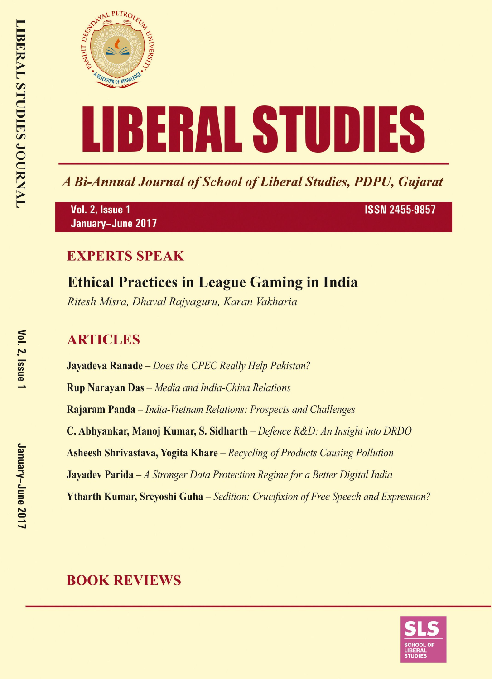

A Bi-Annual Journal of School of Liberal Studies, PDPU, Gujarat

Vol. 2, Issue 1 January-June 2017 **ISSN 2455-9857** 

## **EXPERTS SPEAK**

# **Ethical Practices in League Gaming in India**

Ritesh Misra, Dhaval Rajyaguru, Karan Vakharia

# **ARTICLES**

**Jayadeva Ranade** – Does the CPEC Really Help Pakistan? **Rup Narayan Das** - Media and India-China Relations Rajaram Panda – India-Vietnam Relations: Prospects and Challenges C. Abhyankar, Manoj Kumar, S. Sidharth – Defence R&D: An Insight into DRDO **Asheesh Shrivastava, Yogita Khare** – Recycling of Products Causing Pollution **Jayadev Parida**  $-A$  Stronger Data Protection Regime for a Better Digital India **Ytharth Kumar, Srevoshi Guha** – Sedition: Crucifixion of Free Speech and Expression?

# **BOOK REVIEWS**

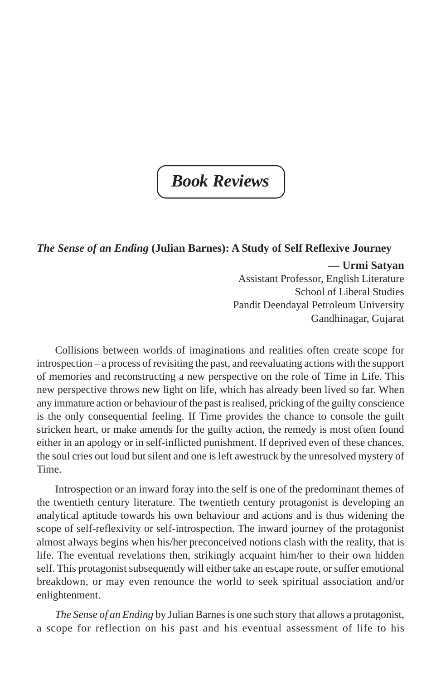# *Book Reviews*

### *The Sense of an Ending* **(Julian Barnes): A Study of Self Reflexive Journey**

**— Urmi Satyan** Assistant Professor, English Literature School of Liberal Studies Pandit Deendayal Petroleum University Gandhinagar, Gujarat

Collisions between worlds of imaginations and realities often create scope for introspection – a process of revisiting the past, and reevaluating actions with the support of memories and reconstructing a new perspective on the role of Time in Life. This new perspective throws new light on life, which has already been lived so far. When any immature action or behaviour of the past is realised, pricking of the guilty conscience is the only consequential feeling. If Time provides the chance to console the guilt stricken heart, or make amends for the guilty action, the remedy is most often found either in an apology or in self-inflicted punishment. If deprived even of these chances, the soul cries out loud but silent and one is left awestruck by the unresolved mystery of Time.

Introspection or an inward foray into the self is one of the predominant themes of the twentieth century literature. The twentieth century protagonist is developing an analytical aptitude towards his own behaviour and actions and is thus widening the scope of self-reflexivity or self-introspection. The inward journey of the protagonist almost always begins when his/her preconceived notions clash with the reality, that is life. The eventual revelations then, strikingly acquaint him/her to their own hidden self. This protagonist subsequently will either take an escape route, or suffer emotional breakdown, or may even renounce the world to seek spiritual association and/or enlightenment.

*The Sense of an Ending* by Julian Barnes is one such story that allows a protagonist, a scope for reflection on his past and his eventual assessment of life to his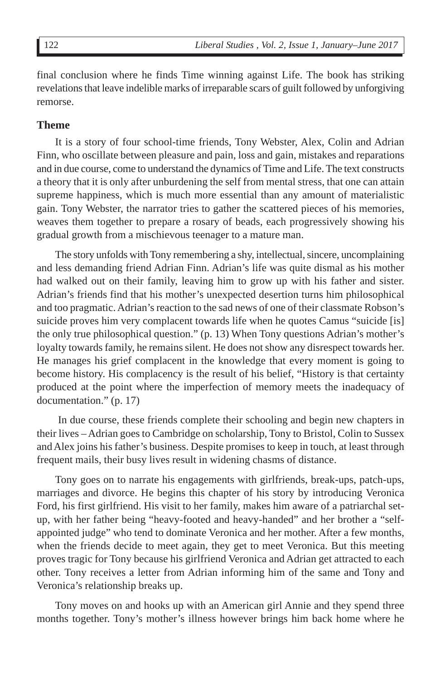final conclusion where he finds Time winning against Life. The book has striking revelations that leave indelible marks of irreparable scars of guilt followed by unforgiving remorse.

### **Theme**

It is a story of four school-time friends, Tony Webster, Alex, Colin and Adrian Finn, who oscillate between pleasure and pain, loss and gain, mistakes and reparations and in due course, come to understand the dynamics of Time and Life. The text constructs a theory that it is only after unburdening the self from mental stress, that one can attain supreme happiness, which is much more essential than any amount of materialistic gain. Tony Webster, the narrator tries to gather the scattered pieces of his memories, weaves them together to prepare a rosary of beads, each progressively showing his gradual growth from a mischievous teenager to a mature man.

The story unfolds with Tony remembering a shy, intellectual, sincere, uncomplaining and less demanding friend Adrian Finn. Adrian's life was quite dismal as his mother had walked out on their family, leaving him to grow up with his father and sister. Adrian's friends find that his mother's unexpected desertion turns him philosophical and too pragmatic. Adrian's reaction to the sad news of one of their classmate Robson's suicide proves him very complacent towards life when he quotes Camus "suicide [is] the only true philosophical question." (p. 13) When Tony questions Adrian's mother's loyalty towards family, he remains silent. He does not show any disrespect towards her. He manages his grief complacent in the knowledge that every moment is going to become history. His complacency is the result of his belief, "History is that certainty produced at the point where the imperfection of memory meets the inadequacy of documentation." (p. 17)

 In due course, these friends complete their schooling and begin new chapters in their lives – Adrian goes to Cambridge on scholarship, Tony to Bristol, Colin to Sussex and Alex joins his father's business. Despite promises to keep in touch, at least through frequent mails, their busy lives result in widening chasms of distance.

Tony goes on to narrate his engagements with girlfriends, break-ups, patch-ups, marriages and divorce. He begins this chapter of his story by introducing Veronica Ford, his first girlfriend. His visit to her family, makes him aware of a patriarchal setup, with her father being "heavy-footed and heavy-handed" and her brother a "selfappointed judge" who tend to dominate Veronica and her mother. After a few months, when the friends decide to meet again, they get to meet Veronica. But this meeting proves tragic for Tony because his girlfriend Veronica and Adrian get attracted to each other. Tony receives a letter from Adrian informing him of the same and Tony and Veronica's relationship breaks up.

Tony moves on and hooks up with an American girl Annie and they spend three months together. Tony's mother's illness however brings him back home where he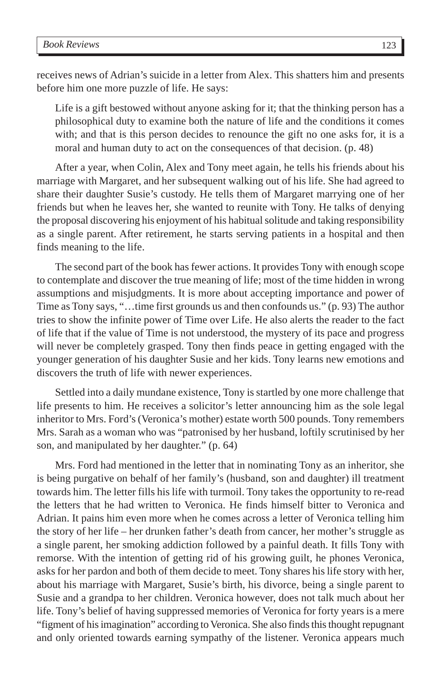receives news of Adrian's suicide in a letter from Alex. This shatters him and presents before him one more puzzle of life. He says:

Life is a gift bestowed without anyone asking for it; that the thinking person has a philosophical duty to examine both the nature of life and the conditions it comes with; and that is this person decides to renounce the gift no one asks for, it is a moral and human duty to act on the consequences of that decision. (p. 48)

After a year, when Colin, Alex and Tony meet again, he tells his friends about his marriage with Margaret, and her subsequent walking out of his life. She had agreed to share their daughter Susie's custody. He tells them of Margaret marrying one of her friends but when he leaves her, she wanted to reunite with Tony. He talks of denying the proposal discovering his enjoyment of his habitual solitude and taking responsibility as a single parent. After retirement, he starts serving patients in a hospital and then finds meaning to the life.

The second part of the book has fewer actions. It provides Tony with enough scope to contemplate and discover the true meaning of life; most of the time hidden in wrong assumptions and misjudgments. It is more about accepting importance and power of Time as Tony says, "…time first grounds us and then confounds us." (p. 93) The author tries to show the infinite power of Time over Life. He also alerts the reader to the fact of life that if the value of Time is not understood, the mystery of its pace and progress will never be completely grasped. Tony then finds peace in getting engaged with the younger generation of his daughter Susie and her kids. Tony learns new emotions and discovers the truth of life with newer experiences.

Settled into a daily mundane existence, Tony is startled by one more challenge that life presents to him. He receives a solicitor's letter announcing him as the sole legal inheritor to Mrs. Ford's (Veronica's mother) estate worth 500 pounds. Tony remembers Mrs. Sarah as a woman who was "patronised by her husband, loftily scrutinised by her son, and manipulated by her daughter." (p. 64)

Mrs. Ford had mentioned in the letter that in nominating Tony as an inheritor, she is being purgative on behalf of her family's (husband, son and daughter) ill treatment towards him. The letter fills his life with turmoil. Tony takes the opportunity to re-read the letters that he had written to Veronica. He finds himself bitter to Veronica and Adrian. It pains him even more when he comes across a letter of Veronica telling him the story of her life – her drunken father's death from cancer, her mother's struggle as a single parent, her smoking addiction followed by a painful death. It fills Tony with remorse. With the intention of getting rid of his growing guilt, he phones Veronica, asks for her pardon and both of them decide to meet. Tony shares his life story with her, about his marriage with Margaret, Susie's birth, his divorce, being a single parent to Susie and a grandpa to her children. Veronica however, does not talk much about her life. Tony's belief of having suppressed memories of Veronica for forty years is a mere "figment of his imagination" according to Veronica. She also finds this thought repugnant and only oriented towards earning sympathy of the listener. Veronica appears much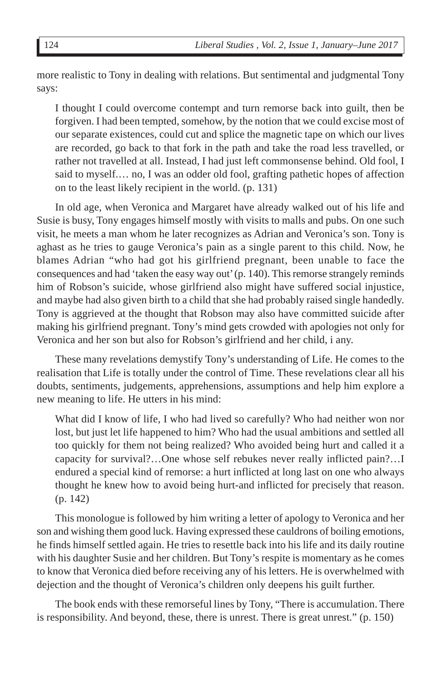more realistic to Tony in dealing with relations. But sentimental and judgmental Tony says:

I thought I could overcome contempt and turn remorse back into guilt, then be forgiven. I had been tempted, somehow, by the notion that we could excise most of our separate existences, could cut and splice the magnetic tape on which our lives are recorded, go back to that fork in the path and take the road less travelled, or rather not travelled at all. Instead, I had just left commonsense behind. Old fool, I said to myself.… no, I was an odder old fool, grafting pathetic hopes of affection on to the least likely recipient in the world. (p. 131)

In old age, when Veronica and Margaret have already walked out of his life and Susie is busy, Tony engages himself mostly with visits to malls and pubs. On one such visit, he meets a man whom he later recognizes as Adrian and Veronica's son. Tony is aghast as he tries to gauge Veronica's pain as a single parent to this child. Now, he blames Adrian "who had got his girlfriend pregnant, been unable to face the consequences and had 'taken the easy way out' (p. 140). This remorse strangely reminds him of Robson's suicide, whose girlfriend also might have suffered social injustice, and maybe had also given birth to a child that she had probably raised single handedly. Tony is aggrieved at the thought that Robson may also have committed suicide after making his girlfriend pregnant. Tony's mind gets crowded with apologies not only for Veronica and her son but also for Robson's girlfriend and her child, i any.

These many revelations demystify Tony's understanding of Life. He comes to the realisation that Life is totally under the control of Time. These revelations clear all his doubts, sentiments, judgements, apprehensions, assumptions and help him explore a new meaning to life. He utters in his mind:

What did I know of life, I who had lived so carefully? Who had neither won nor lost, but just let life happened to him? Who had the usual ambitions and settled all too quickly for them not being realized? Who avoided being hurt and called it a capacity for survival?…One whose self rebukes never really inflicted pain?…I endured a special kind of remorse: a hurt inflicted at long last on one who always thought he knew how to avoid being hurt-and inflicted for precisely that reason. (p. 142)

This monologue is followed by him writing a letter of apology to Veronica and her son and wishing them good luck. Having expressed these cauldrons of boiling emotions, he finds himself settled again. He tries to resettle back into his life and its daily routine with his daughter Susie and her children. But Tony's respite is momentary as he comes to know that Veronica died before receiving any of his letters. He is overwhelmed with dejection and the thought of Veronica's children only deepens his guilt further.

The book ends with these remorseful lines by Tony, "There is accumulation. There is responsibility. And beyond, these, there is unrest. There is great unrest." (p. 150)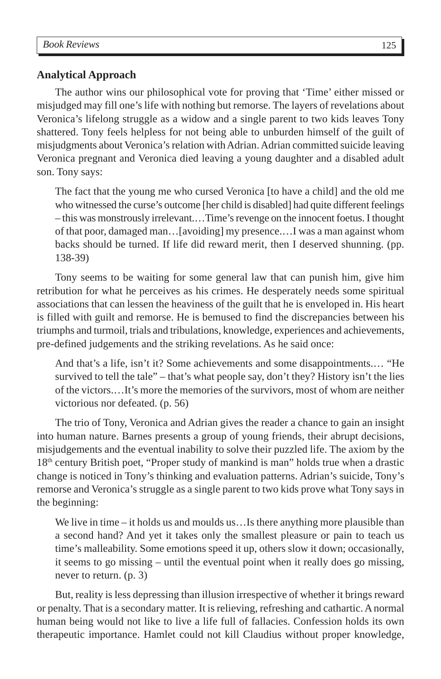#### **Analytical Approach**

The author wins our philosophical vote for proving that 'Time' either missed or misjudged may fill one's life with nothing but remorse. The layers of revelations about Veronica's lifelong struggle as a widow and a single parent to two kids leaves Tony shattered. Tony feels helpless for not being able to unburden himself of the guilt of misjudgments about Veronica's relation with Adrian. Adrian committed suicide leaving Veronica pregnant and Veronica died leaving a young daughter and a disabled adult son. Tony says:

The fact that the young me who cursed Veronica [to have a child] and the old me who witnessed the curse's outcome [her child is disabled] had quite different feelings – this was monstrously irrelevant.…Time's revenge on the innocent foetus. I thought of that poor, damaged man…[avoiding] my presence.…I was a man against whom backs should be turned. If life did reward merit, then I deserved shunning. (pp. 138-39)

Tony seems to be waiting for some general law that can punish him, give him retribution for what he perceives as his crimes. He desperately needs some spiritual associations that can lessen the heaviness of the guilt that he is enveloped in. His heart is filled with guilt and remorse. He is bemused to find the discrepancies between his triumphs and turmoil, trials and tribulations, knowledge, experiences and achievements, pre-defined judgements and the striking revelations. As he said once:

And that's a life, isn't it? Some achievements and some disappointments.… "He survived to tell the tale" – that's what people say, don't they? History isn't the lies of the victors.…It's more the memories of the survivors, most of whom are neither victorious nor defeated. (p. 56)

The trio of Tony, Veronica and Adrian gives the reader a chance to gain an insight into human nature. Barnes presents a group of young friends, their abrupt decisions, misjudgements and the eventual inability to solve their puzzled life. The axiom by the 18th century British poet, "Proper study of mankind is man" holds true when a drastic change is noticed in Tony's thinking and evaluation patterns. Adrian's suicide, Tony's remorse and Veronica's struggle as a single parent to two kids prove what Tony says in the beginning:

We live in time – it holds us and moulds us... Is there anything more plausible than a second hand? And yet it takes only the smallest pleasure or pain to teach us time's malleability. Some emotions speed it up, others slow it down; occasionally, it seems to go missing – until the eventual point when it really does go missing, never to return. (p. 3)

But, reality is less depressing than illusion irrespective of whether it brings reward or penalty. That is a secondary matter. It is relieving, refreshing and cathartic. A normal human being would not like to live a life full of fallacies. Confession holds its own therapeutic importance. Hamlet could not kill Claudius without proper knowledge,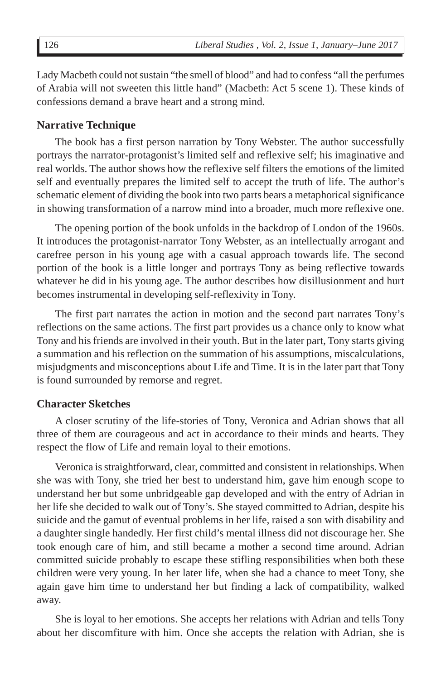Lady Macbeth could not sustain "the smell of blood" and had to confess "all the perfumes of Arabia will not sweeten this little hand" (Macbeth: Act 5 scene 1). These kinds of confessions demand a brave heart and a strong mind.

### **Narrative Technique**

The book has a first person narration by Tony Webster. The author successfully portrays the narrator-protagonist's limited self and reflexive self; his imaginative and real worlds. The author shows how the reflexive self filters the emotions of the limited self and eventually prepares the limited self to accept the truth of life. The author's schematic element of dividing the book into two parts bears a metaphorical significance in showing transformation of a narrow mind into a broader, much more reflexive one.

The opening portion of the book unfolds in the backdrop of London of the 1960s. It introduces the protagonist-narrator Tony Webster, as an intellectually arrogant and carefree person in his young age with a casual approach towards life. The second portion of the book is a little longer and portrays Tony as being reflective towards whatever he did in his young age. The author describes how disillusionment and hurt becomes instrumental in developing self-reflexivity in Tony.

The first part narrates the action in motion and the second part narrates Tony's reflections on the same actions. The first part provides us a chance only to know what Tony and his friends are involved in their youth. But in the later part, Tony starts giving a summation and his reflection on the summation of his assumptions, miscalculations, misjudgments and misconceptions about Life and Time. It is in the later part that Tony is found surrounded by remorse and regret.

#### **Character Sketches**

A closer scrutiny of the life-stories of Tony, Veronica and Adrian shows that all three of them are courageous and act in accordance to their minds and hearts. They respect the flow of Life and remain loyal to their emotions.

Veronica is straightforward, clear, committed and consistent in relationships. When she was with Tony, she tried her best to understand him, gave him enough scope to understand her but some unbridgeable gap developed and with the entry of Adrian in her life she decided to walk out of Tony's. She stayed committed to Adrian, despite his suicide and the gamut of eventual problems in her life, raised a son with disability and a daughter single handedly. Her first child's mental illness did not discourage her. She took enough care of him, and still became a mother a second time around. Adrian committed suicide probably to escape these stifling responsibilities when both these children were very young. In her later life, when she had a chance to meet Tony, she again gave him time to understand her but finding a lack of compatibility, walked away.

She is loyal to her emotions. She accepts her relations with Adrian and tells Tony about her discomfiture with him. Once she accepts the relation with Adrian, she is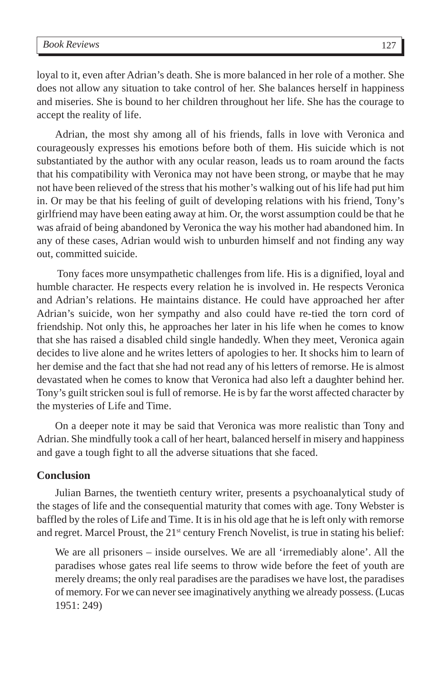loyal to it, even after Adrian's death. She is more balanced in her role of a mother. She does not allow any situation to take control of her. She balances herself in happiness and miseries. She is bound to her children throughout her life. She has the courage to accept the reality of life.

Adrian, the most shy among all of his friends, falls in love with Veronica and courageously expresses his emotions before both of them. His suicide which is not substantiated by the author with any ocular reason, leads us to roam around the facts that his compatibility with Veronica may not have been strong, or maybe that he may not have been relieved of the stress that his mother's walking out of his life had put him in. Or may be that his feeling of guilt of developing relations with his friend, Tony's girlfriend may have been eating away at him. Or, the worst assumption could be that he was afraid of being abandoned by Veronica the way his mother had abandoned him. In any of these cases, Adrian would wish to unburden himself and not finding any way out, committed suicide.

 Tony faces more unsympathetic challenges from life. His is a dignified, loyal and humble character. He respects every relation he is involved in. He respects Veronica and Adrian's relations. He maintains distance. He could have approached her after Adrian's suicide, won her sympathy and also could have re-tied the torn cord of friendship. Not only this, he approaches her later in his life when he comes to know that she has raised a disabled child single handedly. When they meet, Veronica again decides to live alone and he writes letters of apologies to her. It shocks him to learn of her demise and the fact that she had not read any of his letters of remorse. He is almost devastated when he comes to know that Veronica had also left a daughter behind her. Tony's guilt stricken soul is full of remorse. He is by far the worst affected character by the mysteries of Life and Time.

On a deeper note it may be said that Veronica was more realistic than Tony and Adrian. She mindfully took a call of her heart, balanced herself in misery and happiness and gave a tough fight to all the adverse situations that she faced.

#### **Conclusion**

Julian Barnes, the twentieth century writer, presents a psychoanalytical study of the stages of life and the consequential maturity that comes with age. Tony Webster is baffled by the roles of Life and Time. It is in his old age that he is left only with remorse and regret. Marcel Proust, the  $21<sup>st</sup>$  century French Novelist, is true in stating his belief:

We are all prisoners – inside ourselves. We are all 'irremediably alone'. All the paradises whose gates real life seems to throw wide before the feet of youth are merely dreams; the only real paradises are the paradises we have lost, the paradises of memory. For we can never see imaginatively anything we already possess. (Lucas 1951: 249)